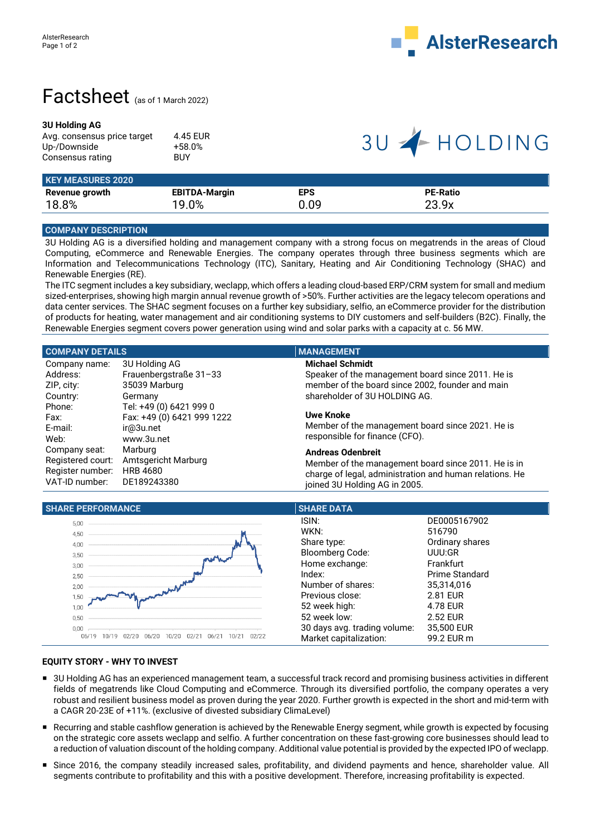

## Factsheet (as of 1 March 2022)

### **3U Holding AG**

| Avg. consensus price target | 4.45 EUR   |
|-----------------------------|------------|
| Up-/Downside                | $+58.0%$   |
| Consensus rating            | <b>BUY</b> |

# 3U + HOLDING

| <b>KEY MEASURES 2020</b> |                      |            |                 |  |
|--------------------------|----------------------|------------|-----------------|--|
| Revenue growth           | <b>EBITDA-Margin</b> | <b>EPS</b> | <b>PE-Ratio</b> |  |
| 18.8%                    | 19.0%                | 0.09       | 23.9x           |  |

## **COMPANY DESCRIPTION**

3U Holding AG is a diversified holding and management company with a strong focus on megatrends in the areas of Cloud Computing, eCommerce and Renewable Energies. The company operates through three business segments which are Information and Telecommunications Technology (ITC), Sanitary, Heating and Air Conditioning Technology (SHAC) and Renewable Energies (RE).

The ITC segment includes a key subsidiary, weclapp, which offers a leading cloud-based ERP/CRM system for small and medium sized-enterprises, showing high margin annual revenue growth of >50%. Further activities are the legacy telecom operations and data center services. The SHAC segment focuses on a further key subsidiary, selfio, an eCommerce provider for the distribution of products for heating, water management and air conditioning systems to DIY customers and self-builders (B2C). Finally, the Renewable Energies segment covers power generation using wind and solar parks with a capacity at c. 56 MW.

| <b>COMPANY DETAILS</b>     | <b>MANAGEMENT</b>                                       |  |  |
|----------------------------|---------------------------------------------------------|--|--|
| 3U Holding AG              | <b>Michael Schmidt</b>                                  |  |  |
| Frauenbergstraße 31-33     | Speaker of the management board since 2011. He is       |  |  |
| 35039 Marburg              | member of the board since 2002, founder and main        |  |  |
| Germany                    | shareholder of 3U HOLDING AG.                           |  |  |
| Tel: +49 (0) 6421 999 0    |                                                         |  |  |
| Fax: +49 (0) 6421 999 1222 | <b>Uwe Knoke</b>                                        |  |  |
| ir@3u.net                  | Member of the management board since 2021. He is        |  |  |
| www.3u.net                 | responsible for finance (CFO).                          |  |  |
| Marburg                    | <b>Andreas Odenbreit</b>                                |  |  |
| Amtsgericht Marburg        | Member of the management board since 2011. He is in     |  |  |
| <b>HRB 4680</b>            | charge of legal, administration and human relations. He |  |  |
| DE189243380                | joined 3U Holding AG in 2005.                           |  |  |
|                            |                                                         |  |  |

| <b>SHARE PERFORMANCE</b>                                                         | <b>SHARE DATA</b>                                                                                                                           |                                                                                                                          |
|----------------------------------------------------------------------------------|---------------------------------------------------------------------------------------------------------------------------------------------|--------------------------------------------------------------------------------------------------------------------------|
| 5,00<br>4,50<br>4,00<br>3,50<br>3,00<br>2,50<br>2,00<br>1,50<br>1.00             | ISIN:<br>WKN:<br>Share type:<br><b>Bloomberg Code:</b><br>Home exchange:<br>Index:<br>Number of shares:<br>Previous close:<br>52 week high: | DE0005167902<br>516790<br>Ordinary shares<br>UUU:GR<br>Frankfurt<br>Prime Standard<br>35,314,016<br>2.81 EUR<br>4.78 EUR |
| 0,50<br>0,00<br>02/22<br>02/21<br>06/21<br>$10/2^{-}$<br>06/19<br>06/20<br>10/20 | 52 week low:<br>30 days avg. trading volume:<br>Market capitalization:                                                                      | 2.52 EUR<br>35,500 EUR<br>99.2 EUR m                                                                                     |

## **EQUITY STORY - WHY TO INVEST**

- 3U Holding AG has an experienced management team, a successful track record and promising business activities in different fields of megatrends like Cloud Computing and eCommerce. Through its diversified portfolio, the company operates a very robust and resilient business model as proven during the year 2020. Further growth is expected in the short and mid-term with a CAGR 20-23E of +11%. (exclusive of divested subsidiary ClimaLevel)
- Recurring and stable cashflow generation is achieved by the Renewable Energy segment, while growth is expected by focusing on the strategic core assets weclapp and selfio. A further concentration on these fast-growing core businesses should lead to a reduction of valuation discount of the holding company. Additional value potential is provided by the expected IPO of weclapp.
- Since 2016, the company steadily increased sales, profitability, and dividend payments and hence, shareholder value. All segments contribute to profitability and this with a positive development. Therefore, increasing profitability is expected.